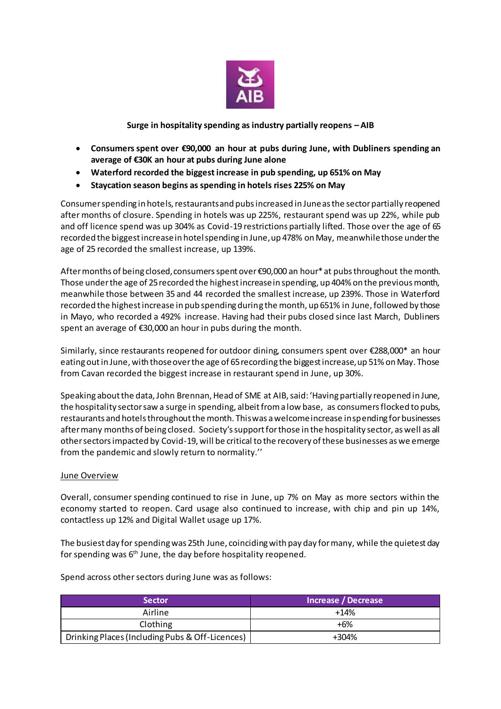

**Surge in hospitality spending as industry partially reopens – AIB**

- **Consumers spent over €90,000 an hour at pubs during June, with Dubliners spending an average of €30K an hour at pubs during June alone**
- **Waterford recorded the biggest increase in pub spending, up 651% on May**
- **Staycation season begins as spending in hotels rises 225% on May**

Consumer spending in hotels, restaurants and pubs increased in June as the sector partially reopened after months of closure. Spending in hotels was up 225%, restaurant spend was up 22%, while pub and off licence spend was up 304% as Covid-19 restrictions partially lifted. Those over the age of 65 recorded the biggest increase in hotel spending in June, up 478% on May, meanwhile those under the age of 25 recorded the smallest increase, up 139%.

After months of being closed, consumers spent over €90,000 an hour\* at pubs throughout the month. Those under the age of 25 recorded the highest increase in spending, up 404% on the previous month, meanwhile those between 35 and 44 recorded the smallest increase, up 239%. Those in Waterford recorded the highest increase in pub spending during the month, up 651% in June, followed by those in Mayo, who recorded a 492% increase. Having had their pubs closed since last March, Dubliners spent an average of €30,000 an hour in pubs during the month.

Similarly, since restaurants reopened for outdoor dining, consumers spent over €288,000\* an hour eating out in June, with those over the age of 65 recording the biggest increase, up 51% on May. Those from Cavan recorded the biggest increase in restaurant spend in June, up 30%.

Speaking about the data, John Brennan, Head of SME at AIB, said: 'Having partially reopened in June, the hospitality sector saw a surge in spending, albeit from a low base, as consumers flocked to pubs, restaurants and hotels throughout the month. This was a welcome increase in spending for businesses after many months of being closed. Society's support for those in the hospitality sector, as well as all other sectors impacted by Covid-19, will be critical to the recovery of these businesses as we emerge from the pandemic and slowly return to normality.''

## **June Overview**

Overall, consumer spending continued to rise in June, up 7% on May as more sectors within the economy started to reopen. Card usage also continued to increase, with chip and pin up 14%, contactless up 12% and Digital Wallet usage up 17%.

The busiest day for spending was 25th June, coinciding with pay day for many, while the quietest day for spending was 6<sup>th</sup> June, the day before hospitality reopened.

| <b>Sector</b>                                   | Increase / Decrease |
|-------------------------------------------------|---------------------|
| Airline                                         | $+14%$              |
| Clothing                                        | +6%                 |
| Drinking Places (Including Pubs & Off-Licences) | +304%               |

Spend across other sectors during June was as follows: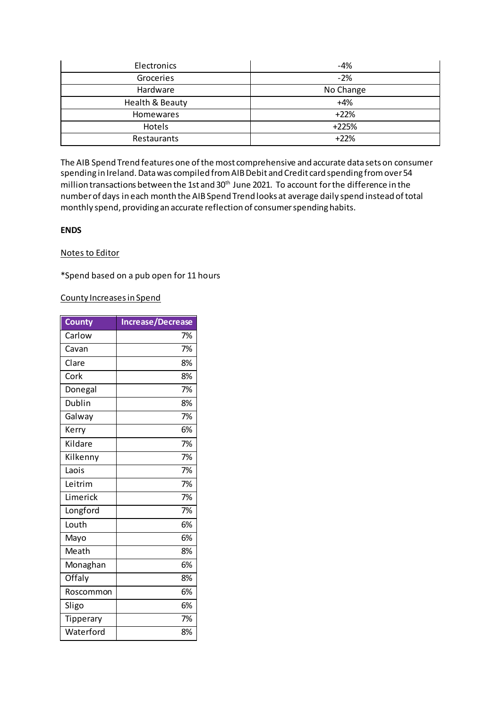| Electronics      | $-4%$     |
|------------------|-----------|
| Groceries        | $-2%$     |
| Hardware         | No Change |
| Health & Beauty  | $+4%$     |
| <b>Homewares</b> | $+22%$    |
| Hotels           | $+225%$   |
| Restaurants      | $+22%$    |

The AIB Spend Trend features one of the most comprehensive and accurate data sets on consumer spending in Ireland. Data was compiled from AIB Debit and Credit card spending from over 54 million transactions between the 1st and 30<sup>th</sup> June 2021. To account for the difference in the number of days in each month the AIB Spend Trend looks at average daily spend instead of total monthly spend, providing an accurate reflection of consumer spending habits.

## **ENDS**

## Notes to Editor

\*Spend based on a pub open for 11 hours

## County Increases in Spend

| <b>County</b> | <b>Increase/Decrease</b> |
|---------------|--------------------------|
| Carlow        | 7%                       |
| Cavan         | 7%                       |
| Clare         | 8%                       |
| Cork          | 8%                       |
| Donegal       | 7%                       |
| Dublin        | 8%                       |
| Galway        | 7%                       |
| Kerry         | 6%                       |
| Kildare       | 7%                       |
| Kilkenny      | 7%                       |
| Laois         | 7%                       |
| Leitrim       | 7%                       |
| Limerick      | 7%                       |
| Longford      | 7%                       |
| Louth         | 6%                       |
| Mayo          | 6%                       |
| Meath         | 8%                       |
| Monaghan      | 6%                       |
| Offaly        | 8%                       |
| Roscommon     | 6%                       |
| Sligo         | 6%                       |
| Tipperary     | 7%                       |
| Waterford     | 8%                       |